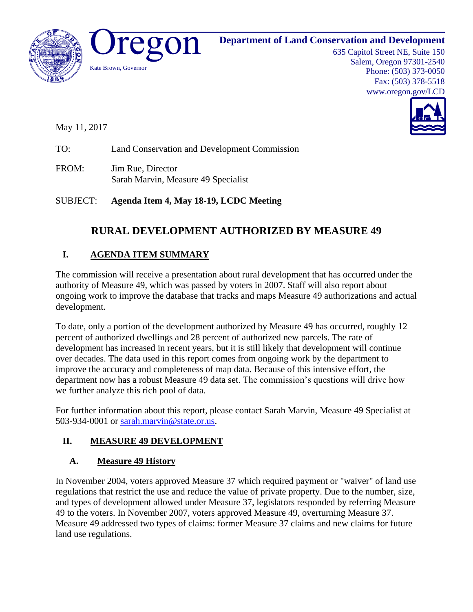

635 Capitol Street NE, Suite 150 Salem, Oregon 97301-2540 Phone: (503) 373-0050 Fax: (503) 378-5518 www.oregon.gov/LCD



May 11, 2017

TO: Land Conservation and Development Commission

FROM: Jim Rue, Director Sarah Marvin, Measure 49 Specialist

SUBJECT: **Agenda Item 4, May 18-19, LCDC Meeting**

# **RURAL DEVELOPMENT AUTHORIZED BY MEASURE 49**

## **I. AGENDA ITEM SUMMARY**

The commission will receive a presentation about rural development that has occurred under the authority of Measure 49, which was passed by voters in 2007. Staff will also report about ongoing work to improve the database that tracks and maps Measure 49 authorizations and actual development.

To date, only a portion of the development authorized by Measure 49 has occurred, roughly 12 percent of authorized dwellings and 28 percent of authorized new parcels. The rate of development has increased in recent years, but it is still likely that development will continue over decades. The data used in this report comes from ongoing work by the department to improve the accuracy and completeness of map data. Because of this intensive effort, the department now has a robust Measure 49 data set. The commission's questions will drive how we further analyze this rich pool of data.

For further information about this report, please contact Sarah Marvin, Measure 49 Specialist at 503-934-0001 or [sarah.marvin@state.or.us.](mailto:sarah.marvin@state.or.us)

### **II. MEASURE 49 DEVELOPMENT**

#### **A. Measure 49 History**

In November 2004, voters approved Measure 37 which required payment or "waiver" of land use regulations that restrict the use and reduce the value of private property. Due to the number, size, and types of development allowed under Measure 37, legislators responded by referring Measure 49 to the voters. In November 2007, voters approved Measure 49, overturning Measure 37. Measure 49 addressed two types of claims: former Measure 37 claims and new claims for future land use regulations.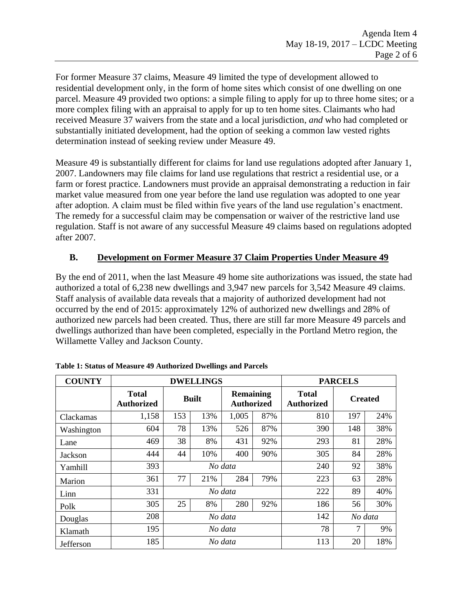For former Measure 37 claims, Measure 49 limited the type of development allowed to residential development only, in the form of home sites which consist of one dwelling on one parcel. Measure 49 provided two options: a simple filing to apply for up to three home sites; or a more complex filing with an appraisal to apply for up to ten home sites. Claimants who had received Measure 37 waivers from the state and a local jurisdiction, *and* who had completed or substantially initiated development, had the option of seeking a common law vested rights determination instead of seeking review under Measure 49.

Measure 49 is substantially different for claims for land use regulations adopted after January 1, 2007. Landowners may file claims for land use regulations that restrict a residential use, or a farm or forest practice. Landowners must provide an appraisal demonstrating a reduction in fair market value measured from one year before the land use regulation was adopted to one year after adoption. A claim must be filed within five years of the land use regulation's enactment. The remedy for a successful claim may be compensation or waiver of the restrictive land use regulation. Staff is not aware of any successful Measure 49 claims based on regulations adopted after 2007.

#### **B. Development on Former Measure 37 Claim Properties Under Measure 49**

By the end of 2011, when the last Measure 49 home site authorizations was issued, the state had authorized a total of 6,238 new dwellings and 3,947 new parcels for 3,542 Measure 49 claims. Staff analysis of available data reveals that a majority of authorized development had not occurred by the end of 2015: approximately 12% of authorized new dwellings and 28% of authorized new parcels had been created. Thus, there are still far more Measure 49 parcels and dwellings authorized than have been completed, especially in the Portland Metro region, the Willamette Valley and Jackson County.

| <b>COUNTY</b> | <b>DWELLINGS</b>                  |              |     |                                       | <b>PARCELS</b> |                                   |                |     |
|---------------|-----------------------------------|--------------|-----|---------------------------------------|----------------|-----------------------------------|----------------|-----|
|               | <b>Total</b><br><b>Authorized</b> | <b>Built</b> |     | <b>Remaining</b><br><b>Authorized</b> |                | <b>Total</b><br><b>Authorized</b> | <b>Created</b> |     |
| Clackamas     | 1,158                             | 153          | 13% | 1,005                                 | 87%            | 810                               | 197            | 24% |
| Washington    | 604                               | 78           | 13% | 526                                   | 87%            | 390                               | 148            | 38% |
| Lane          | 469                               | 38           | 8%  | 431                                   | 92%            | 293                               | 81             | 28% |
| Jackson       | 444                               | 44           | 10% | 400                                   | 90%            | 305                               | 84             | 28% |
| Yamhill       | 393                               | No data      |     |                                       | 240            | 92                                | 38%            |     |
| Marion        | 361                               | 77           | 21% | 284                                   | 79%            | 223                               | 63             | 28% |
| Linn          | 331                               | No data      |     |                                       | 222            | 89                                | 40%            |     |
| Polk          | 305                               | 25           | 8%  | 280                                   | 92%            | 186                               | 56             | 30% |
| Douglas       | 208                               | No data      |     |                                       | 142            | No data                           |                |     |
| Klamath       | 195                               | No data      |     |                                       | 78             | 7                                 | 9%             |     |
| Jefferson     | 185                               | No data      |     |                                       | 113            | 20                                | 18%            |     |

| Table 1: Status of Measure 49 Authorized Dwellings and Parcels |  |  |  |  |  |
|----------------------------------------------------------------|--|--|--|--|--|
|----------------------------------------------------------------|--|--|--|--|--|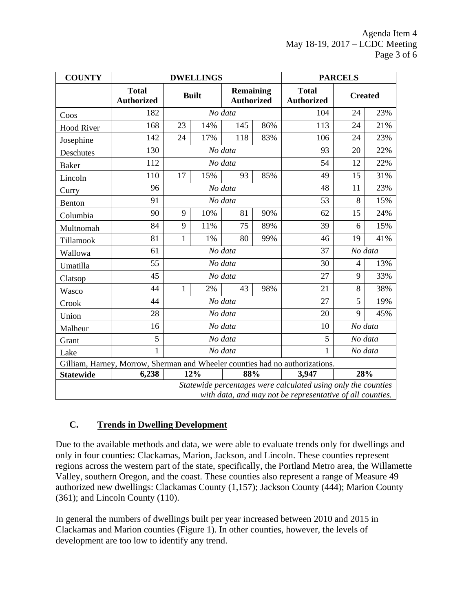| <b>COUNTY</b>                                                                                                              | <b>DWELLINGS</b>                  |              |            |                                       | <b>PARCELS</b> |                                   |                |     |
|----------------------------------------------------------------------------------------------------------------------------|-----------------------------------|--------------|------------|---------------------------------------|----------------|-----------------------------------|----------------|-----|
|                                                                                                                            | <b>Total</b><br><b>Authorized</b> | <b>Built</b> |            | <b>Remaining</b><br><b>Authorized</b> |                | <b>Total</b><br><b>Authorized</b> | <b>Created</b> |     |
| Coos                                                                                                                       | 182                               |              |            | No data                               |                | 104                               | 24             | 23% |
| <b>Hood River</b>                                                                                                          | 168                               | 23           | 14%        |                                       | 86%            | 113                               | 24             | 21% |
| Josephine                                                                                                                  | 142                               | 24           | 17%        | 118                                   | 83%            | 106                               | 24             | 23% |
| Deschutes                                                                                                                  | 130                               |              | No data    |                                       |                | 93                                | 20             | 22% |
| <b>Baker</b>                                                                                                               | 112                               |              | No data    |                                       |                | 54                                | 12             | 22% |
| Lincoln                                                                                                                    | 110                               | 17           | 15%        | 93                                    | 85%            | 49                                | 15             | 31% |
| Curry                                                                                                                      | 96                                |              | No data    |                                       |                | 48                                | 11             | 23% |
| <b>Benton</b>                                                                                                              | 91                                |              | No data    |                                       |                | 53                                | 8              | 15% |
| Columbia                                                                                                                   | 90                                | 9            | 10%        | 81                                    | 90%            | 62                                | 15             | 24% |
| Multnomah                                                                                                                  | 84                                | 9            | 11%        | 75                                    | 89%            | 39                                | 6              | 15% |
| Tillamook                                                                                                                  | 81                                | $\mathbf{1}$ | 1%         | 80                                    | 99%            | 46                                | 19             | 41% |
| Wallowa                                                                                                                    | 61                                | No data      |            |                                       | 37             | No data                           |                |     |
| Umatilla                                                                                                                   | 55                                | No data      |            |                                       | 30             | $\overline{4}$                    | 13%            |     |
| Clatsop                                                                                                                    | 45                                |              | No data    |                                       |                | 27                                | 9              | 33% |
| Wasco                                                                                                                      | 44                                | 1            | 2%         | 43                                    | 98%            | 21                                | 8              | 38% |
| Crook                                                                                                                      | 44                                |              | No data    |                                       |                | 27                                | 5              | 19% |
| Union                                                                                                                      | 28                                | No data      |            |                                       | 20             | $\mathbf Q$                       | 45%            |     |
| Malheur                                                                                                                    | 16                                | No data      |            |                                       |                | 10                                | No data        |     |
| Grant                                                                                                                      | 5                                 | No data      |            |                                       |                | 5                                 | No data        |     |
| Lake                                                                                                                       | $\mathbf{1}$                      | No data      |            |                                       |                | 1                                 | No data        |     |
| Gilliam, Harney, Morrow, Sherman and Wheeler counties had no authorizations.                                               |                                   |              |            |                                       |                |                                   |                |     |
| <b>Statewide</b>                                                                                                           | 6,238                             |              | 12%<br>88% |                                       |                | 3,947                             | 28%            |     |
| Statewide percentages were calculated using only the counties<br>with data, and may not be representative of all counties. |                                   |              |            |                                       |                |                                   |                |     |

#### **C. Trends in Dwelling Development**

Due to the available methods and data, we were able to evaluate trends only for dwellings and only in four counties: Clackamas, Marion, Jackson, and Lincoln. These counties represent regions across the western part of the state, specifically, the Portland Metro area, the Willamette Valley, southern Oregon, and the coast. These counties also represent a range of Measure 49 authorized new dwellings: Clackamas County (1,157); Jackson County (444); Marion County (361); and Lincoln County (110).

In general the numbers of dwellings built per year increased between 2010 and 2015 in Clackamas and Marion counties (Figure 1). In other counties, however, the levels of development are too low to identify any trend.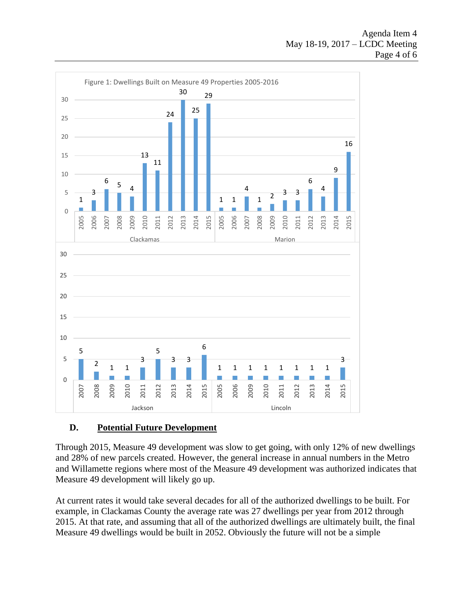

#### **D. Potential Future Development**

Through 2015, Measure 49 development was slow to get going, with only 12% of new dwellings and 28% of new parcels created. However, the general increase in annual numbers in the Metro and Willamette regions where most of the Measure 49 development was authorized indicates that Measure 49 development will likely go up.

At current rates it would take several decades for all of the authorized dwellings to be built. For example, in Clackamas County the average rate was 27 dwellings per year from 2012 through 2015. At that rate, and assuming that all of the authorized dwellings are ultimately built, the final Measure 49 dwellings would be built in 2052. Obviously the future will not be a simple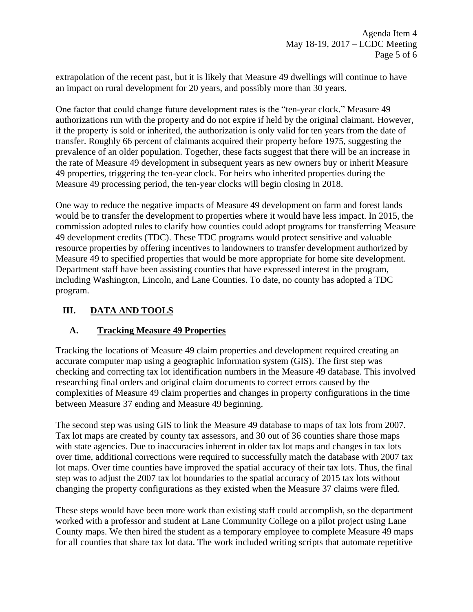extrapolation of the recent past, but it is likely that Measure 49 dwellings will continue to have an impact on rural development for 20 years, and possibly more than 30 years.

One factor that could change future development rates is the "ten-year clock." Measure 49 authorizations run with the property and do not expire if held by the original claimant. However, if the property is sold or inherited, the authorization is only valid for ten years from the date of transfer. Roughly 66 percent of claimants acquired their property before 1975, suggesting the prevalence of an older population. Together, these facts suggest that there will be an increase in the rate of Measure 49 development in subsequent years as new owners buy or inherit Measure 49 properties, triggering the ten-year clock. For heirs who inherited properties during the Measure 49 processing period, the ten-year clocks will begin closing in 2018.

One way to reduce the negative impacts of Measure 49 development on farm and forest lands would be to transfer the development to properties where it would have less impact. In 2015, the commission adopted rules to clarify how counties could adopt programs for transferring Measure 49 development credits (TDC). These TDC programs would protect sensitive and valuable resource properties by offering incentives to landowners to transfer development authorized by Measure 49 to specified properties that would be more appropriate for home site development. Department staff have been assisting counties that have expressed interest in the program, including Washington, Lincoln, and Lane Counties. To date, no county has adopted a TDC program.

#### **III. DATA AND TOOLS**

#### **A. Tracking Measure 49 Properties**

Tracking the locations of Measure 49 claim properties and development required creating an accurate computer map using a geographic information system (GIS). The first step was checking and correcting tax lot identification numbers in the Measure 49 database. This involved researching final orders and original claim documents to correct errors caused by the complexities of Measure 49 claim properties and changes in property configurations in the time between Measure 37 ending and Measure 49 beginning.

The second step was using GIS to link the Measure 49 database to maps of tax lots from 2007. Tax lot maps are created by county tax assessors, and 30 out of 36 counties share those maps with state agencies. Due to inaccuracies inherent in older tax lot maps and changes in tax lots over time, additional corrections were required to successfully match the database with 2007 tax lot maps. Over time counties have improved the spatial accuracy of their tax lots. Thus, the final step was to adjust the 2007 tax lot boundaries to the spatial accuracy of 2015 tax lots without changing the property configurations as they existed when the Measure 37 claims were filed.

These steps would have been more work than existing staff could accomplish, so the department worked with a professor and student at Lane Community College on a pilot project using Lane County maps. We then hired the student as a temporary employee to complete Measure 49 maps for all counties that share tax lot data. The work included writing scripts that automate repetitive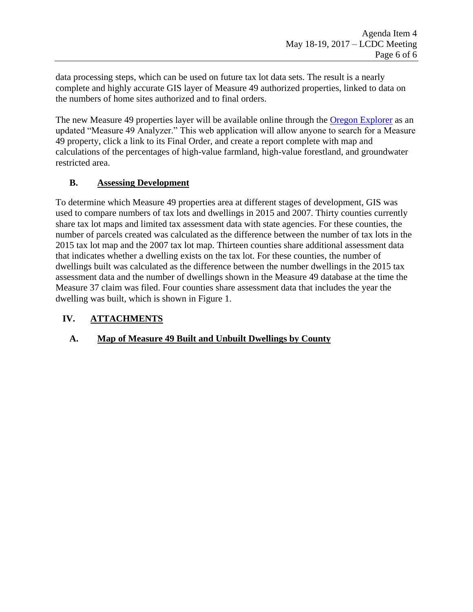data processing steps, which can be used on future tax lot data sets. The result is a nearly complete and highly accurate GIS layer of Measure 49 authorized properties, linked to data on the numbers of home sites authorized and to final orders.

The new Measure 49 properties layer will be available online through the [Oregon Explorer](http://oregonexplorer.info/) as an updated "Measure 49 Analyzer." This web application will allow anyone to search for a Measure 49 property, click a link to its Final Order, and create a report complete with map and calculations of the percentages of high-value farmland, high-value forestland, and groundwater restricted area.

#### **B. Assessing Development**

To determine which Measure 49 properties area at different stages of development, GIS was used to compare numbers of tax lots and dwellings in 2015 and 2007. Thirty counties currently share tax lot maps and limited tax assessment data with state agencies. For these counties, the number of parcels created was calculated as the difference between the number of tax lots in the 2015 tax lot map and the 2007 tax lot map. Thirteen counties share additional assessment data that indicates whether a dwelling exists on the tax lot. For these counties, the number of dwellings built was calculated as the difference between the number dwellings in the 2015 tax assessment data and the number of dwellings shown in the Measure 49 database at the time the Measure 37 claim was filed. Four counties share assessment data that includes the year the dwelling was built, which is shown in Figure 1.

#### **IV. ATTACHMENTS**

#### **A. Map of Measure 49 Built and Unbuilt Dwellings by County**